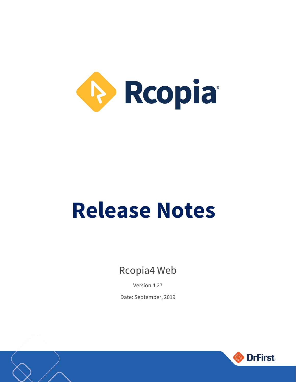

# **Release Notes**

Rcopia4 Web

Version 4.27 Date: September, 2019



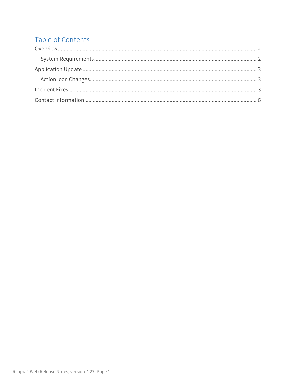#### Table of Contents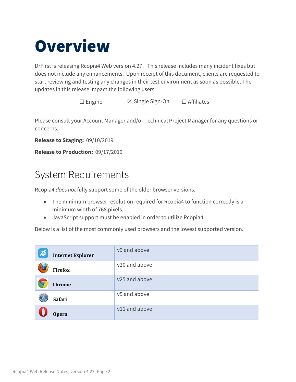### <span id="page-2-0"></span>**Overview**

DrFirst is releasing Rcopia4 Web version 4.27. This release includes many incident fixes but does not include any enhancements. Upon receipt of this document, clients are requested to start reviewing and testing any changes in their test environment as soon as possible. The updates in this release impact the following users:

☐ Engine ☒ Single Sign-On ☐ Affiliates

Please consult your Account Manager and/or Technical Project Manager for any questions or concerns.

**Release to Staging:** 09/10/2019

**Release to Production:** 09/17/2019

### <span id="page-2-1"></span>System Requirements

Rcopia4 *does not* fully support some of the older browser versions.

- The minimum browser resolution required for Rcopia4 to function correctly is a minimum width of 768 pixels.
- JavaScript support must be enabled in order to utilize Rcopia4.

Below is a list of the most commonly used browsers and the lowest supported version.

| $\bigotimes$ | <b>Internet Explorer</b> | v9 and above  |
|--------------|--------------------------|---------------|
|              | <b>Firefox</b>           | v20 and above |
|              | <b>Chrome</b>            | v25 and above |
|              | <b>Safari</b>            | v5 and above  |
|              | <b>Opera</b>             | v11 and above |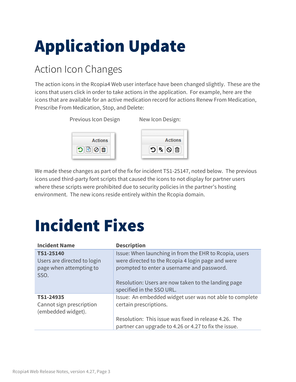## <span id="page-3-0"></span>Application Update

### <span id="page-3-1"></span>Action Icon Changes

The action icons in the Rcopia4 Web user interface have been changed slightly. These are the icons that users click in order to take actions in the application. For example, here are the icons that are available for an active medication record for actions Renew From Medication, Prescribe From Medication, Stop, and Delete:

> Previous Icon Design New Icon Design: **Actions Actions** •ว!ื่ ⊗∫ฮิ  $\left\| \mathbf{0} \right\| \mathbf{0} \left\| \mathbf{C} \right\| \mathbf{C}$

We made these changes as part of the fix for incident TS1-25147, noted below. The previous icons used third-party font scripts that caused the icons to not display for partner users where these scripts were prohibited due to security policies in the partner's hosting environment. The new icons reside entirely within the Rcopia domain.

## <span id="page-3-2"></span>Incident Fixes

| <b>Incident Name</b>                                                        | <b>Description</b>                                                                                                                                                                                                                            |
|-----------------------------------------------------------------------------|-----------------------------------------------------------------------------------------------------------------------------------------------------------------------------------------------------------------------------------------------|
| TS1-25140<br>Users are directed to login<br>page when attempting to<br>SSO. | Issue: When launching in from the EHR to Rcopia, users<br>were directed to the Rcopia 4 login page and were<br>prompted to enter a username and password.<br>Resolution: Users are now taken to the landing page<br>specified in the SSO URL. |
| TS1-24935<br>Cannot sign prescription<br>(embedded widget).                 | Issue: An embedded widget user was not able to complete<br>certain prescriptions.<br>Resolution: This issue was fixed in release 4.26. The<br>partner can upgrade to 4.26 or 4.27 to fix the issue.                                           |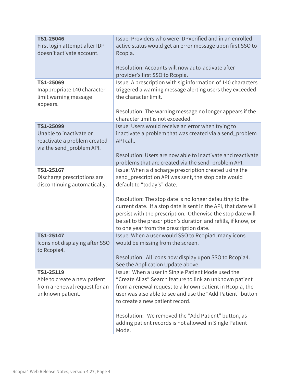| TS1-25046<br>First login attempt after IDP<br>doesn't activate account.                        | Issue: Providers who were IDPVerified and in an enrolled<br>active status would get an error message upon first SSO to<br>Rcopia.<br>Resolution: Accounts will now auto-activate after<br>provider's first SSO to Rcopia.                                                                               |
|------------------------------------------------------------------------------------------------|---------------------------------------------------------------------------------------------------------------------------------------------------------------------------------------------------------------------------------------------------------------------------------------------------------|
| TS1-25069                                                                                      | Issue: A prescription with sig information of 140 characters                                                                                                                                                                                                                                            |
| Inappropriate 140 character<br>limit warning message<br>appears.                               | triggered a warning message alerting users they exceeded<br>the character limit.                                                                                                                                                                                                                        |
|                                                                                                | Resolution: The warning message no longer appears if the<br>character limit is not exceeded.                                                                                                                                                                                                            |
| TS1-25099                                                                                      | Issue: Users would receive an error when trying to                                                                                                                                                                                                                                                      |
| Unable to inactivate or<br>reactivate a problem created<br>via the send_problem API.           | inactivate a problem that was created via a send_problem<br>API call.                                                                                                                                                                                                                                   |
|                                                                                                | Resolution: Users are now able to inactivate and reactivate<br>problems that are created via the send_problem API.                                                                                                                                                                                      |
| TS1-25167                                                                                      | Issue: When a discharge prescription created using the                                                                                                                                                                                                                                                  |
| Discharge prescriptions are<br>discontinuing automatically.                                    | send_prescription API was sent, the stop date would<br>default to "today's" date.                                                                                                                                                                                                                       |
|                                                                                                | Resolution: The stop date is no longer defaulting to the<br>current date. If a stop date is sent in the API, that date will<br>persist with the prescription. Otherwise the stop date will<br>be set to the prescription's duration and refills, if know, or<br>to one year from the prescription date. |
| TS1-25147<br>Icons not displaying after SSO<br>to Rcopia4.                                     | Issue: When a user would SSO to Rcopia4, many icons<br>would be missing from the screen.                                                                                                                                                                                                                |
|                                                                                                | Resolution: All icons now display upon SSO to Rcopia4.<br>See the Application Update above.                                                                                                                                                                                                             |
| TS1-25119<br>Able to create a new patient<br>from a renewal request for an<br>unknown patient. | Issue: When a user in Single Patient Mode used the<br>"Create Alias" Search feature to link an unknown patient<br>from a renewal request to a known patient in Rcopia, the<br>user was also able to see and use the "Add Patient" button<br>to create a new patient record.                             |
|                                                                                                | Resolution: We removed the "Add Patient" button, as<br>adding patient records is not allowed in Single Patient<br>Mode.                                                                                                                                                                                 |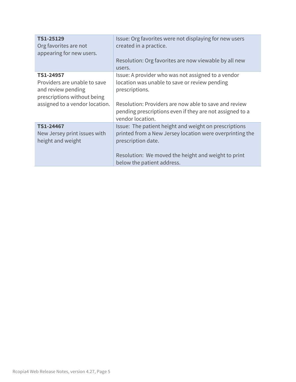| TS1-25129<br>Org favorites are not<br>appearing for new users.  | Issue: Org favorites were not displaying for new users<br>created in a practice.<br>Resolution: Org favorites are now viewable by all new<br>users. |
|-----------------------------------------------------------------|-----------------------------------------------------------------------------------------------------------------------------------------------------|
| TS1-24957<br>Providers are unable to save<br>and review pending | Issue: A provider who was not assigned to a vendor<br>location was unable to save or review pending<br>prescriptions.                               |
| prescriptions without being<br>assigned to a vendor location.   | Resolution: Providers are now able to save and review<br>pending prescriptions even if they are not assigned to a<br>vendor location.               |
| TS1-24467<br>New Jersey print issues with<br>height and weight  | Issue: The patient height and weight on prescriptions<br>printed from a New Jersey location were overprinting the<br>prescription date.             |
|                                                                 | Resolution: We moved the height and weight to print<br>below the patient address.                                                                   |